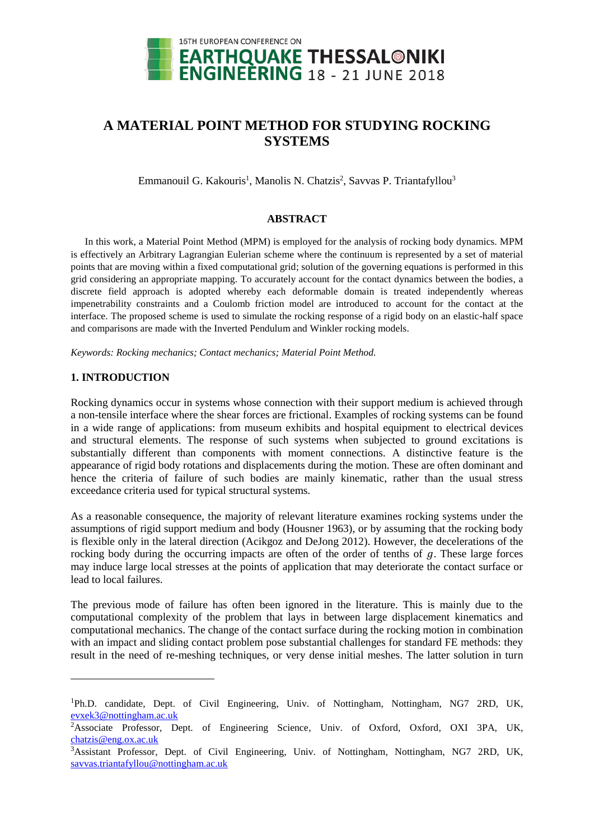

# **A MATERIAL POINT METHOD FOR STUDYING ROCKING SYSTEMS**

Emmanouil G. Kakouris<sup>1</sup>, Manolis N. Chatzis<sup>2</sup>, Savvas P. Triantafyllou<sup>3</sup>

# **ABSTRACT**

In this work, a Material Point Method (MPM) is employed for the analysis of rocking body dynamics. MPM is effectively an Arbitrary Lagrangian Eulerian scheme where the continuum is represented by a set of material points that are moving within a fixed computational grid; solution of the governing equations is performed in this grid considering an appropriate mapping. To accurately account for the contact dynamics between the bodies, a discrete field approach is adopted whereby each deformable domain is treated independently whereas impenetrability constraints and a Coulomb friction model are introduced to account for the contact at the interface. The proposed scheme is used to simulate the rocking response of a rigid body on an elastic-half space and comparisons are made with the Inverted Pendulum and Winkler rocking models.

*Keywords: Rocking mechanics; Contact mechanics; Material Point Method.*

# **1. INTRODUCTION**

l

Rocking dynamics occur in systems whose connection with their support medium is achieved through a non-tensile interface where the shear forces are frictional. Examples of rocking systems can be found in a wide range of applications: from museum exhibits and hospital equipment to electrical devices and structural elements. The response of such systems when subjected to ground excitations is substantially different than components with moment connections. A distinctive feature is the appearance of rigid body rotations and displacements during the motion. These are often dominant and hence the criteria of failure of such bodies are mainly kinematic, rather than the usual stress exceedance criteria used for typical structural systems.

As a reasonable consequence, the majority of relevant literature examines rocking systems under the assumptions of rigid support medium and body (Housner 1963), or by assuming that the rocking body is flexible only in the lateral direction (Acikgoz and DeJong 2012). However, the decelerations of the rocking body during the occurring impacts are often of the order of tenths of  $q$ . These large forces may induce large local stresses at the points of application that may deteriorate the contact surface or lead to local failures.

The previous mode of failure has often been ignored in the literature. This is mainly due to the computational complexity of the problem that lays in between large displacement kinematics and computational mechanics. The change of the contact surface during the rocking motion in combination with an impact and sliding contact problem pose substantial challenges for standard FE methods: they result in the need of re-meshing techniques, or very dense initial meshes. The latter solution in turn

<sup>&</sup>lt;sup>1</sup>Ph.D. candidate, Dept. of Civil Engineering, Univ. of Nottingham, Nottingham, NG7 2RD, UK, [evxek3@n](mailto:evxek3@)ottingham.ac.uk

<sup>2</sup>Associate Professor, Dept. of Engineering Science, Univ. of Oxford, Oxford, OXI 3PA, UK, [chatzis@e](mailto:chatzis@)ng.ox.ac.uk

<sup>&</sup>lt;sup>3</sup>Assistant Professor, Dept. of Civil Engineering, Univ. of Nottingham, Nottingham, NG7 2RD, UK, [savvas.triantafyllou@n](mailto:savvas.triantafyllou@)ottingham.ac.uk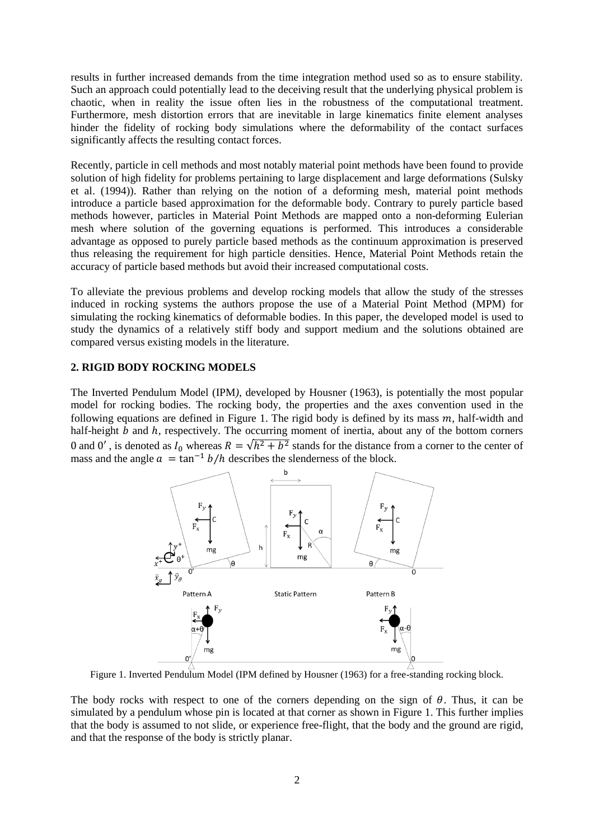results in further increased demands from the time integration method used so as to ensure stability. Such an approach could potentially lead to the deceiving result that the underlying physical problem is chaotic, when in reality the issue often lies in the robustness of the computational treatment. Furthermore, mesh distortion errors that are inevitable in large kinematics finite element analyses hinder the fidelity of rocking body simulations where the deformability of the contact surfaces significantly affects the resulting contact forces.

Recently, particle in cell methods and most notably material point methods have been found to provide solution of high fidelity for problems pertaining to large displacement and large deformations (Sulsky et al. (1994)). Rather than relying on the notion of a deforming mesh, material point methods introduce a particle based approximation for the deformable body. Contrary to purely particle based methods however, particles in Material Point Methods are mapped onto a non-deforming Eulerian mesh where solution of the governing equations is performed. This introduces a considerable advantage as opposed to purely particle based methods as the continuum approximation is preserved thus releasing the requirement for high particle densities. Hence, Material Point Methods retain the accuracy of particle based methods but avoid their increased computational costs.

To alleviate the previous problems and develop rocking models that allow the study of the stresses induced in rocking systems the authors propose the use of a Material Point Method (MPM) for simulating the rocking kinematics of deformable bodies. In this paper, the developed model is used to study the dynamics of a relatively stiff body and support medium and the solutions obtained are compared versus existing models in the literature.

### **2. RIGID BODY ROCKING MODELS**

The Inverted Pendulum Model (IPM*)*, developed by Housner (1963), is potentially the most popular model for rocking bodies. The rocking body, the properties and the axes convention used in the following equations are defined in [Figure 1.](#page-1-0) The rigid body is defined by its mass  $m$ , half-width and half-height  $\overline{b}$  and  $\overline{h}$ , respectively. The occurring moment of inertia, about any of the bottom corners 0 and 0', is denoted as  $I_0$  whereas  $R = \sqrt{h^2 + b^2}$  stands for the distance from a corner to the center of mass and the angle  $a = \tan^{-1} \frac{b}{h}$  describes the slenderness of the block.



<span id="page-1-0"></span>Figure 1. Inverted Pendulum Model (IPM defined by Housner (1963) for a free-standing rocking block.

The body rocks with respect to one of the corners depending on the sign of  $\theta$ . Thus, it can be simulated by a pendulum whose pin is located at that corner as shown in [Figure 1.](#page-1-0) This further implies that the body is assumed to not slide, or experience free-flight, that the body and the ground are rigid, and that the response of the body is strictly planar.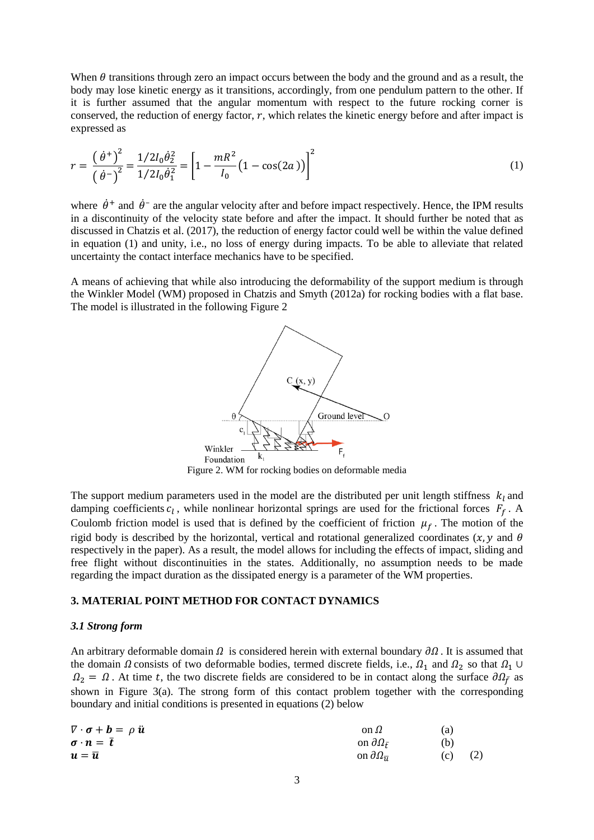When  $\theta$  transitions through zero an impact occurs between the body and the ground and as a result, the body may lose kinetic energy as it transitions, accordingly, from one pendulum pattern to the other. If it is further assumed that the angular momentum with respect to the future rocking corner is conserved, the reduction of energy factor,  $r$ , which relates the kinetic energy before and after impact is expressed as

$$
r = \frac{\left(\dot{\theta}^+\right)^2}{\left(\dot{\theta}^-\right)^2} = \frac{1/2I_0\dot{\theta}_2^2}{1/2I_0\dot{\theta}_1^2} = \left[1 - \frac{mR^2}{I_0}\left(1 - \cos(2a)\right)\right]^2\tag{1}
$$

where  $\dot{\theta}^+$  and  $\dot{\theta}^-$  are the angular velocity after and before impact respectively. Hence, the IPM results in a discontinuity of the velocity state before and after the impact. It should further be noted that as discussed in Chatzis et al. (2017), the reduction of energy factor could well be within the value defined in equation [\(1\)](#page-2-0) and unity, i.e., no loss of energy during impacts. To be able to alleviate that related uncertainty the contact interface mechanics have to be specified.

A means of achieving that while also introducing the deformability of the support medium is through the Winkler Model (WM) proposed in Chatzis and Smyth (2012a) for rocking bodies with a flat base. The model is illustrated in the following [Figure 2](#page-2-1)

<span id="page-2-0"></span>

Figure 2. WM for rocking bodies on deformable media

<span id="page-2-1"></span>The support medium parameters used in the model are the distributed per unit length stiffness  $k_l$  and damping coefficients  $c_l$ , while nonlinear horizontal springs are used for the frictional forces  $F_f$ . A Coulomb friction model is used that is defined by the coefficient of friction  $\mu_f$ . The motion of the rigid body is described by the horizontal, vertical and rotational generalized coordinates  $(x, y)$  and  $\theta$ respectively in the paper). As a result, the model allows for including the effects of impact, sliding and free flight without discontinuities in the states. Additionally, no assumption needs to be made regarding the impact duration as the dissipated energy is a parameter of the WM properties.

### **3. MATERIAL POINT METHOD FOR CONTACT DYNAMICS**

### *3.1 Strong form*

An arbitrary deformable domain  $\Omega$  is considered herein with external boundary  $\partial \Omega$ . It is assumed that the domain  $\Omega$  consists of two deformable bodies, termed discrete fields, i.e.,  $\Omega_1$  and  $\Omega_2$  so that  $\Omega_1 \cup$  $\Omega_2 = \Omega$ . At time t, the two discrete fields are considered to be in contact along the surface  $\partial \Omega_{\bar{f}}$  as shown in Figure  $3(a)$ . The strong form of this contact problem together with the corresponding boundary and initial conditions is presented in equations [\(2\)](#page-2-2) below

<span id="page-2-2"></span>

| $\nabla \cdot \boldsymbol{\sigma} + \boldsymbol{b} = \rho \ddot{\boldsymbol{u}}$ | on $\Omega$                        | (a) |     |
|----------------------------------------------------------------------------------|------------------------------------|-----|-----|
| $\sigma \cdot n = t$                                                             | on $\partial \Omega_{\bar{r}}$     | (b) |     |
| $\mathbf{u} = \overline{\mathbf{u}}$                                             | on $\partial\Omega_{\overline{u}}$ | (c) | (2) |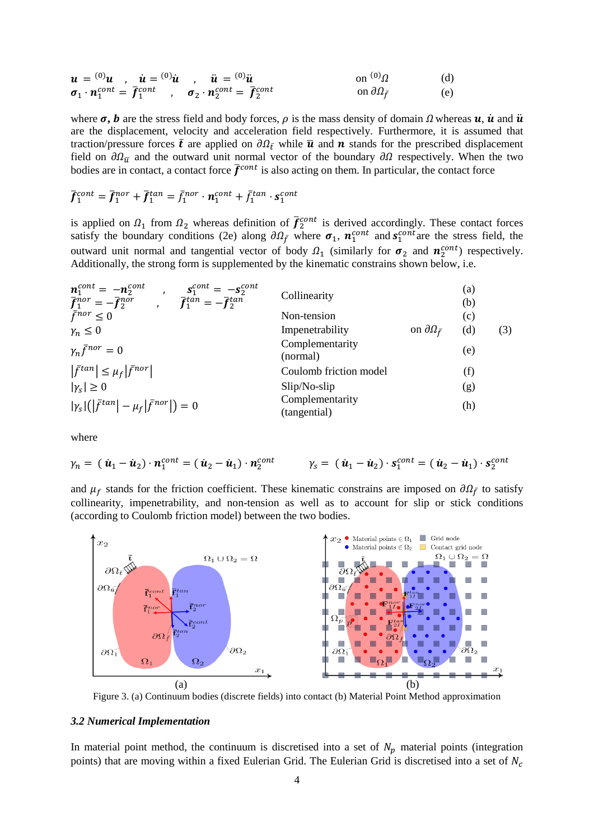$$
\mathbf{u} = {}^{(0)}\mathbf{u} \ , \quad \mathbf{u} = {}^{(0)}\mathbf{u} \ , \quad \mathbf{u} = {}^{(0)}\mathbf{u} \ , \quad \mathbf{u} = {}^{(0)}\mathbf{u} \quad \text{on } {}^{(0)}\Omega \quad \text{(d)}
$$
\n
$$
\sigma_1 \cdot \mathbf{n}_1^{cont} = \overline{f}_1^{cont} \ , \quad \sigma_2 \cdot \mathbf{n}_2^{cont} = \overline{f}_2^{cont} \quad \text{on } \partial \Omega_{\overline{f}} \quad \text{(e)}
$$

where  $\sigma$ , **b** are the stress field and body forces,  $\rho$  is the mass density of domain  $\Omega$  whereas  $\boldsymbol{u}$ ,  $\boldsymbol{\dot{u}}$  and  $\boldsymbol{\ddot{u}}$ are the displacement, velocity and acceleration field respectively. Furthermore, it is assumed that traction/pressure forces  $\bar{t}$  are applied on  $\partial \Omega_{\bar{t}}$  while  $\bar{u}$  and  $n$  stands for the prescribed displacement field on  $\partial \Omega_{\bar{u}}$  and the outward unit normal vector of the boundary  $\partial \Omega$  respectively. When the two bodies are in contact, a contact force  $\bar{f}^{cont}$  is also acting on them. In particular, the contact force

$$
\bar{f}_1^{cont} = \bar{f}_1^{nor} + \bar{f}_1^{tan} = \bar{f}_1^{nor} \cdot \mathbf{n}_1^{cont} + \bar{f}_1^{tan} \cdot \mathbf{s}_1^{cont}
$$

is applied on  $\Omega_1$  from  $\Omega_2$  whereas definition of  $\bar{f}_2^{cont}$  is derived accordingly. These contact forces satisfy the boundary conditions [\(2e](#page-2-2)) along  $\partial \Omega_{\bar{f}}$  where  $\sigma_1$ ,  $n_1^{cont}$  and  $s_1^{cont}$  are the stress field, the outward unit normal and tangential vector of body  $\Omega_1$  (similarly for  $\sigma_2$  and  $n_2^{cont}$ ) respectively. Additionally, the strong form is supplemented by the kinematic constrains shown below, i.e.

| $n_1^{cont} = -n_2^{cont}$ ,<br>$\mathbf{s}_{1}^{cont} = -\mathbf{s}_{2}^{cont}$<br>$\bar{f}_1^{nor} = -\bar{f}_2^{nor}$ , $\bar{f}_1^{tan} = -\bar{f}_2^{tan}$ | Collinearity                    |                                | (a)<br>(b) |     |
|-----------------------------------------------------------------------------------------------------------------------------------------------------------------|---------------------------------|--------------------------------|------------|-----|
| $\bar{f}^{nor} \leq 0$                                                                                                                                          | Non-tension                     |                                | (c)        |     |
| $\gamma_n \leq 0$                                                                                                                                               | Impenetrability                 | on $\partial \Omega_{\bar{f}}$ | (d)        | (3) |
| $\gamma_n \bar{f}^{nor} = 0$                                                                                                                                    | Complementarity<br>(normal)     |                                | (e)        |     |
| $ \bar{f}^{tan}  \leq \mu_f  \bar{f}^{nor} $                                                                                                                    | Coulomb friction model          |                                | (f)        |     |
| $ \gamma_{s}  \geq 0$                                                                                                                                           | $Slip/No-slip$                  |                                | (g)        |     |
| $ \gamma_{s} ( \bar{f}^{tan}  - \mu_{f} \bar{f}^{nor} ) = 0$                                                                                                    | Complementarity<br>(tangential) |                                | (h)        |     |

where

$$
\gamma_n = (\dot{\boldsymbol{u}}_1 - \dot{\boldsymbol{u}}_2) \cdot \boldsymbol{n}_1^{cont} = (\dot{\boldsymbol{u}}_2 - \dot{\boldsymbol{u}}_1) \cdot \boldsymbol{n}_2^{cont} \qquad \gamma_s = (\dot{\boldsymbol{u}}_1 - \dot{\boldsymbol{u}}_2) \cdot \boldsymbol{s}_1^{cont} = (\dot{\boldsymbol{u}}_2 - \dot{\boldsymbol{u}}_1) \cdot \boldsymbol{s}_2^{cont}
$$

and  $\mu_f$  stands for the friction coefficient. These kinematic constrains are imposed on  $\partial\Omega_{\bar{f}}$  to satisfy collinearity, impenetrability, and non-tension as well as to account for slip or stick conditions (according to Coulomb friction model) between the two bodies.



<span id="page-3-0"></span>Figure 3. (a) Continuum bodies (discrete fields) into contact (b) Material Point Method approximation

#### *3.2 Numerical Implementation*

In material point method, the continuum is discretised into a set of  $N_p$  material points (integration points) that are moving within a fixed Eulerian Grid. The Eulerian Grid is discretised into a set of  $N_c$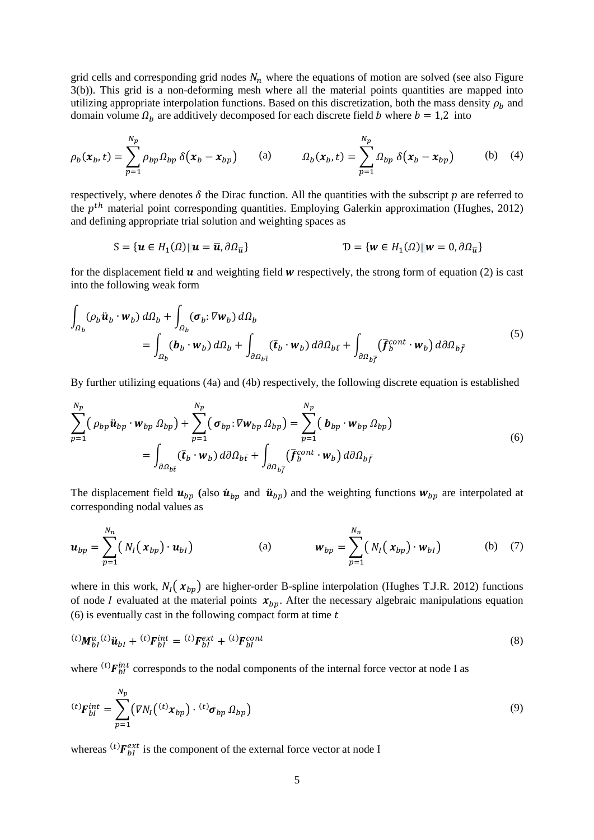grid cells and corresponding grid nodes  $N_n$  where the equations of motion are solved (see also Figure [3\(](#page-3-0)b)). This grid is a non-deforming mesh where all the material points quantities are mapped into utilizing appropriate interpolation functions. Based on this discretization, both the mass density  $\rho_b$  and domain volume  $\Omega_h$  are additively decomposed for each discrete field b where  $b = 1.2$  into

$$
\rho_b(x_b, t) = \sum_{p=1}^{N_p} \rho_{bp} \Omega_{bp} \delta(x_b - x_{bp}) \qquad \text{(a)} \qquad \Omega_b(x_b, t) = \sum_{p=1}^{N_p} \Omega_{bp} \delta(x_b - x_{bp}) \qquad \text{(b)} \quad \text{(4)}
$$

respectively, where denotes  $\delta$  the Dirac function. All the quantities with the subscript  $p$  are referred to the  $p^{th}$  material point corresponding quantities. Employing Galerkin approximation (Hughes, 2012) and defining appropriate trial solution and weighting spaces as

<span id="page-4-0"></span>
$$
S = \{ \boldsymbol{u} \in H_1(\Omega) | \, \boldsymbol{u} = \overline{\boldsymbol{u}}, \partial \Omega_{\overline{u}} \}
$$
\n
$$
D = \{ \boldsymbol{w} \in H_1(\Omega) | \, \boldsymbol{w} = 0, \partial \Omega_{\overline{u}} \}
$$

for the displacement field  $u$  and weighting field  $w$  respectively, the strong form of equation [\(2\)](#page-2-2) is cast into the following weak form

$$
\int_{\Omega_b} (\rho_b \ddot{\boldsymbol{u}}_b \cdot \boldsymbol{w}_b) d\Omega_b + \int_{\Omega_b} (\boldsymbol{\sigma}_b : \nabla \boldsymbol{w}_b) d\Omega_b
$$
\n
$$
= \int_{\Omega_b} (\boldsymbol{b}_b \cdot \boldsymbol{w}_b) d\Omega_b + \int_{\partial \Omega_{b\bar{t}}} (\bar{\boldsymbol{t}}_b \cdot \boldsymbol{w}_b) d\partial \Omega_{b\bar{t}} + \int_{\partial \Omega_{b\bar{f}}} (\bar{\boldsymbol{f}}_b^{cont} \cdot \boldsymbol{w}_b) d\partial \Omega_{b\bar{f}}
$$
\n(5)

By further utilizing equations [\(4a](#page-4-0)) and [\(4b](#page-4-0)) respectively, the following discrete equation is established

<span id="page-4-1"></span>
$$
\sum_{p=1}^{N_p} (\rho_{bp} \ddot{\mathbf{u}}_{bp} \cdot \mathbf{w}_{bp} \Omega_{bp}) + \sum_{p=1}^{N_p} (\sigma_{bp} \cdot \nabla \mathbf{w}_{bp} \Omega_{bp}) = \sum_{p=1}^{N_p} (\mathbf{b}_{bp} \cdot \mathbf{w}_{bp} \Omega_{bp})
$$
  
= 
$$
\int_{\partial \Omega_{b\bar{t}}} (\bar{\mathbf{t}}_b \cdot \mathbf{w}_b) d\partial \Omega_{b\bar{t}} + \int_{\partial \Omega_{b\bar{f}}} (\bar{\mathbf{f}}_b^{cont} \cdot \mathbf{w}_b) d\partial \Omega_{b\bar{f}}
$$
 (6)

The displacement field  $\mathbf{u}_{bp}$  (also  $\dot{\mathbf{u}}_{bp}$  and  $\ddot{\mathbf{u}}_{bp}$ ) and the weighting functions  $\mathbf{w}_{bp}$  are interpolated at corresponding nodal values as

$$
\boldsymbol{u}_{bp} = \sum_{p=1}^{N_n} \left( N_I(x_{bp}) \cdot \boldsymbol{u}_{bl} \right) \qquad \qquad \text{(a)} \qquad \boldsymbol{w}_{bp} = \sum_{p=1}^{N_n} \left( N_I(x_{bp}) \cdot \boldsymbol{w}_{bl} \right) \qquad \qquad \text{(b)} \quad \text{(7)}
$$

where in this work,  $N_I(x_{bp})$  are higher-order B-spline interpolation (Hughes T.J.R. 2012) functions of node *I* evaluated at the material points  $x_{bp}$ . After the necessary algebraic manipulations equation  $(6)$  is eventually cast in the following compact form at time  $t$ 

<span id="page-4-2"></span>
$$
^{(t)}M_{bl}^{u}(t)\ddot{u}_{bl} + ^{(t)}F_{bl}^{int} = ^{(t)}F_{bl}^{ext} + ^{(t)}F_{bl}^{cont}
$$
\n(8)

where  ${}^{(t)}F_{bl}^{int}$  corresponds to the nodal components of the internal force vector at node I as

$$
^{(t)}\mathbf{F}_{bl}^{int} = \sum_{p=1}^{N_p} \left( \nabla N_l \left( ^{(t)} \mathbf{x}_{bp} \right) \cdot ^{(t)} \boldsymbol{\sigma}_{bp} \, \Omega_{bp} \right) \tag{9}
$$

whereas  ${}^{(t)}\mathbf{F}_{bl}^{ext}$  is the component of the external force vector at node I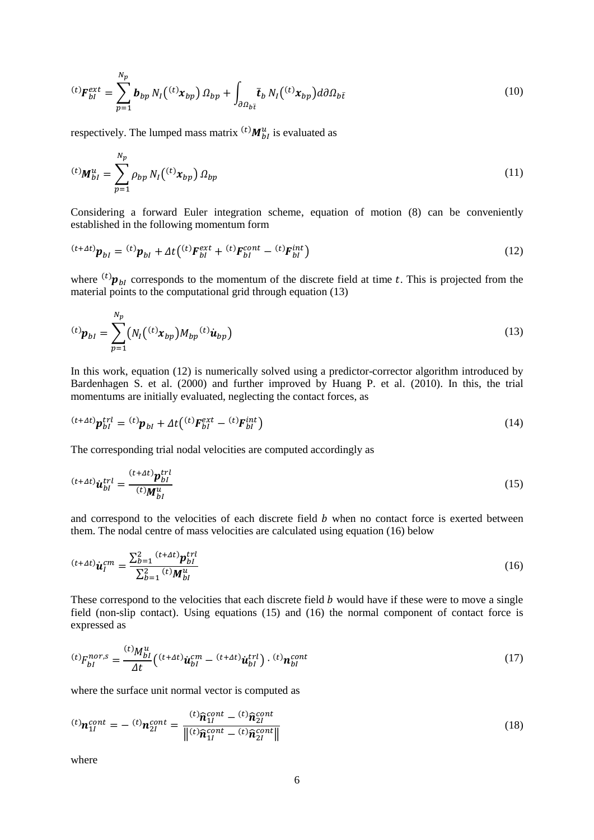$$
^{(t)}\boldsymbol{F}_{bl}^{ext} = \sum_{p=1}^{N_p} \boldsymbol{b}_{bp} N_I(^{(t)}\boldsymbol{x}_{bp}) \Omega_{bp} + \int_{\partial \Omega_{b\bar{t}}} \bar{\boldsymbol{t}}_b N_I(^{(t)}\boldsymbol{x}_{bp}) d\partial \Omega_{b\bar{t}}
$$
(10)

respectively. The lumped mass matrix  ${}^{(t)}M_{bl}^u$  is evaluated as

$$
^{(t)}\mathbf{M}_{bl}^{u} = \sum_{p=1}^{N_p} \rho_{bp} N_l(^{(t)}x_{bp}) \Omega_{bp}
$$
 (11)

Considering a forward Euler integration scheme, equation of motion [\(8\)](#page-4-2) can be conveniently established in the following momentum form

<span id="page-5-1"></span>
$$
{}^{(t+At)}\mathbf{p}_{bl} = {}^{(t)}\mathbf{p}_{bl} + \Delta t \left( {}^{(t)}\mathbf{F}_{bl}^{ext} + {}^{(t)}\mathbf{F}_{bl}^{cont} - {}^{(t)}\mathbf{F}_{bl}^{int} \right) \tag{12}
$$

where  ${}^{(t)}\mathbf{p}_{bl}$  corresponds to the momentum of the discrete field at time t. This is projected from the material points to the computational grid through equation [\(13\)](#page-5-0)

<span id="page-5-0"></span>
$$
^{(t)}\boldsymbol{p}_{bl} = \sum_{p=1}^{N_p} \left( N_I \left( ^{(t)} \boldsymbol{x}_{bp} \right) M_{bp} ^{(t)} \boldsymbol{u}_{bp} \right) \tag{13}
$$

In this work, equation [\(12\)](#page-5-1) is numerically solved using a predictor-corrector algorithm introduced by Bardenhagen S. et al. (2000) and further improved by Huang P. et al. (2010). In this, the trial momentums are initially evaluated, neglecting the contact forces, as

$$
{}^{(t+4t)}\mathbf{p}_{bl}^{trl} = {}^{(t)}\mathbf{p}_{bl} + \Delta t \left( {}^{(t)}\mathbf{F}_{bl}^{ext} - {}^{(t)}\mathbf{F}_{bl}^{int} \right) \tag{14}
$$

The corresponding trial nodal velocities are computed accordingly as

<span id="page-5-3"></span>
$$
^{(t+At)}\dot{u}_{bl}^{trl} = \frac{^{(t+At)}p_{bl}^{trl}}{^{(t)}M_{bl}^{u}}
$$
\n
$$
\tag{15}
$$

and correspond to the velocities of each discrete field  $b$  when no contact force is exerted between them. The nodal centre of mass velocities are calculated using equation [\(16\)](#page-5-2) below

<span id="page-5-2"></span>
$$
^{(t+At)}\dot{u}_I^{cm} = \frac{\sum_{b=1}^2 (t+At)}{\sum_{b=1}^2 (t)M_{bl}^u}
$$
(16)

These correspond to the velocities that each discrete field  $b$  would have if these were to move a single field (non-slip contact). Using equations [\(15\)](#page-5-3) and [\(16\)](#page-5-2) the normal component of contact force is expressed as

$$
{}^{(t)}F_{bl}^{nor,s} = \frac{{}^{(t)}M_{bl}^u}{\Delta t} \left( {}^{(t+At)}\dot{u}_{bl}^{cm} - {}^{(t+At)}\dot{u}_{bl}^{trl} \right) \cdot {}^{(t)}n_{bl}^{cont} \tag{17}
$$

where the surface unit normal vector is computed as

$$
^{(t)}\mathbf{n}_{1l}^{cont} = - {}^{(t)}\mathbf{n}_{2l}^{cont} = \frac{{}^{(t)}\mathbf{\hat{n}}_{1l}^{cont} - {}^{(t)}\mathbf{\hat{n}}_{2l}^{cont}}{\left\| (t)\mathbf{\hat{n}}_{1l}^{cont} - {}^{(t)}\mathbf{\hat{n}}_{2l}^{cont} \right\|} \tag{18}
$$

where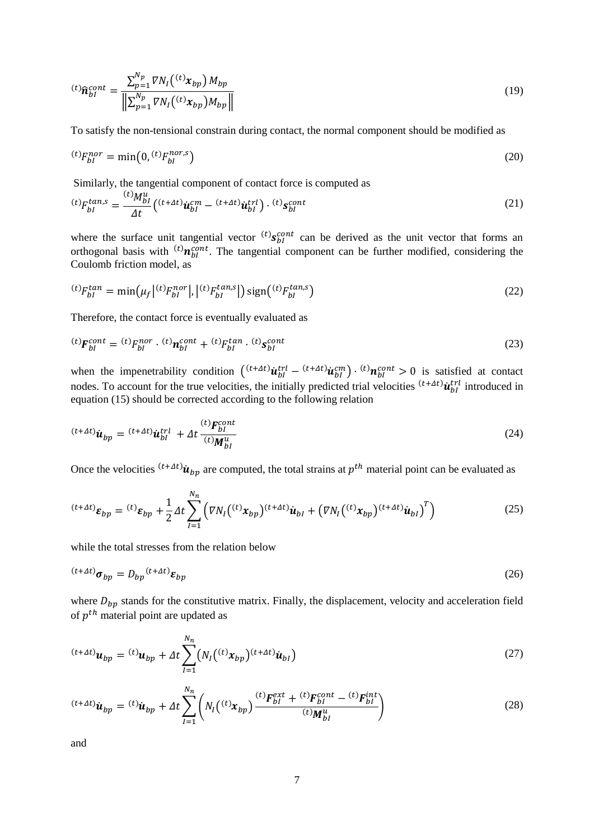$$
^{(t)}\hat{n}_{bl}^{cont} = \frac{\sum_{p=1}^{N_p} \nabla N_l(^{(t)}x_{bp}) M_{bp}}{\left\| \sum_{p=1}^{N_p} \nabla N_l(^{(t)}x_{bp}) M_{bp} \right\|} \tag{19}
$$

To satisfy the non-tensional constrain during contact, the normal component should be modified as

$$
^{(t)}F_{bl}^{nor} = \min(0, {^{(t)}F_{bl}^{nor,s}})
$$
\n(20)

Similarly, the tangential component of contact force is computed as

$$
^{(t)}F_{bl}^{tan,s} = \frac{^{(t)}M_{bl}^u}{\Delta t} \left( ^{(t+\Delta t)}\dot{u}_{bl}^{cm} - ^{(t+\Delta t)}\dot{u}_{bl}^{trl} \right) \cdot ^{(t)}s_{bl}^{cont} \tag{21}
$$

where the surface unit tangential vector  $^{(t)}s_{bl}^{cont}$  can be derived as the unit vector that forms an orthogonal basis with  ${}^{(t)}n_{bl}^{cont}$ . The tangential component can be further modified, considering the Coulomb friction model, as

$$
{}^{(t)}F_{bl}^{tan} = \min(\mu_f | {}^{(t)}F_{bl}^{nor}|, |{}^{(t)}F_{bl}^{tan,s}|) \text{ sign}({}^{(t)}F_{bl}^{tan,s})
$$
(22)

Therefore, the contact force is eventually evaluated as

$$
^{(t)}F_{bl}^{cont} = {^{(t)}F_{bl}^{nor} \cdot {^{(t)}n_{bl}^{cont} + {^{(t)}F_{bl}^{tan} \cdot {^{(t)}S_{bl}^{cont}}}}
$$
\n
$$
(23)
$$

when the impenetrability condition  $({}^{(t+At)}\dot{u}_{bl}^{trl} - {}^{(t+At)}\dot{u}_{bl}^{cm}) \cdot {}^{(t)}n_{bl}^{cont} > 0$  is satisfied at contact nodes. To account for the true velocities, the initially predicted trial velocities  $^{(t+*\Delta t*)}$  $\dot{u}_{bl}^{trl}$  introduced in equation [\(15\)](#page-5-3) should be corrected according to the following relation

$$
^{(t+At)}\dot{u}_{bp} = {}^{(t+At)}\dot{u}_{bl}^{trl} + \Delta t \frac{{}^{(t)}F_{bl}^{cont}}{{}^{(t)}M_{bl}^{u}}
$$
\n
$$
\tag{24}
$$

Once the velocities  $^{(t+4t)}$  $\dot{u}_{bp}$  are computed, the total strains at  $p^{th}$  material point can be evaluated as

$$
^{(t+At)}\varepsilon_{bp} = {}^{(t)}\varepsilon_{bp} + \frac{1}{2}\Delta t \sum_{l=1}^{N_n} \left( \nabla N_l ({}^{(t)}x_{bp})^{(t+At)} \dot{u}_{bl} + (\nabla N_l ({}^{(t)}x_{bp})^{(t+At)} \dot{u}_{bl})^T \right)
$$
(25)

while the total stresses from the relation below

$$
^{(t+At)}\boldsymbol{\sigma}_{bp} = D_{bp}^{(t+At)}\boldsymbol{\varepsilon}_{bp} \tag{26}
$$

where  $D_{bp}$  stands for the constitutive matrix. Finally, the displacement, velocity and acceleration field of  $p^{th}$  material point are updated as

$$
^{(t+At)}\boldsymbol{u}_{bp} = {^{(t)}\boldsymbol{u}_{bp}} + \Delta t \sum_{I=1}^{N_n} \left( N_I \left( {^{(t)}x_{bp}} \right) {^{(t+At)}\boldsymbol{u}_{bl}} \right) \tag{27}
$$

$$
^{(t+At)}\dot{u}_{bp} = {}^{(t)}\dot{u}_{bp} + \Delta t \sum_{I=1}^{N_n} \left( N_I ({}^{(t)}x_{bp}) \frac{{}^{(t)}F_{bl}^{ext} + {}^{(t)}F_{bl}^{cont} - {}^{(t)}F_{bl}^{int}}{{}^{(t)}M_{bl}^{u}} \right)
$$
(28)

and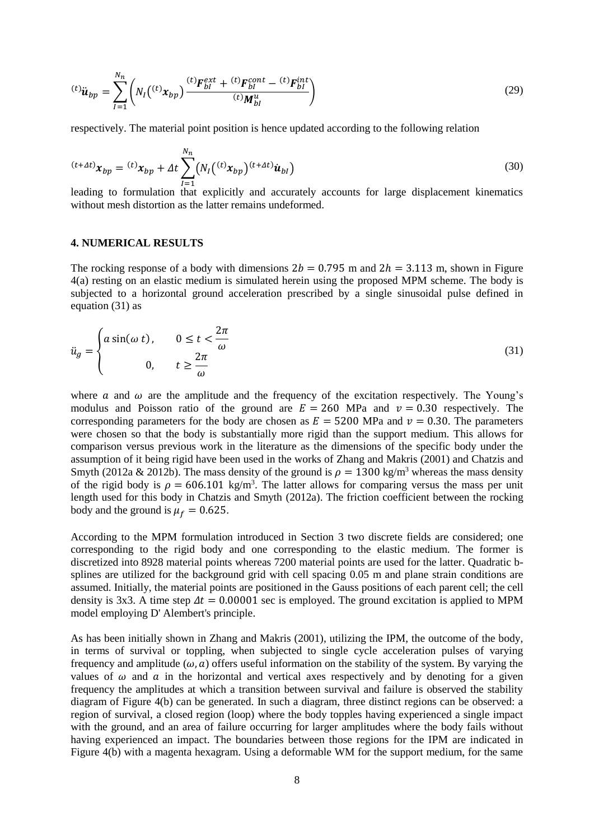$$
^{(t)}\ddot{u}_{bp} = \sum_{I=1}^{N_n} \left( N_I \left( ^{(t)}x_{bp} \right) \frac{^{(t)}F_{bl}^{ext} + ^{(t)}F_{bl}^{cont} - ^{(t)}F_{bl}^{int}}{^{(t)}M_{bl}^u} \right)
$$
(29)

respectively. The material point position is hence updated according to the following relation

$$
^{(t+At)}x_{bp} = {}^{(t)}x_{bp} + \Delta t \sum_{I=1}^{N_n} \left( N_I \left( {}^{(t)}x_{bp} \right) {}^{(t+At)}\dot{u}_{bl} \right) \tag{30}
$$

leading to formulation that explicitly and accurately accounts for large displacement kinematics without mesh distortion as the latter remains undeformed.

### **4. NUMERICAL RESULTS**

The rocking response of a body with dimensions  $2b = 0.795$  m and  $2h = 3.113$  m, shown in Figure [4\(](#page-8-0)a) resting on an elastic medium is simulated herein using the proposed MPM scheme. The body is subjected to a horizontal ground acceleration prescribed by a single sinusoidal pulse defined in equation [\(31\)](#page-7-0) as

<span id="page-7-0"></span>
$$
\ddot{u}_g = \begin{cases} a\sin(\omega t), & 0 \le t < \frac{2\pi}{\omega} \\ 0, & t \ge \frac{2\pi}{\omega} \end{cases}
$$
\n(31)

where  $\alpha$  and  $\omega$  are the amplitude and the frequency of the excitation respectively. The Young's modulus and Poisson ratio of the ground are  $E = 260$  MPa and  $v = 0.30$  respectively. The corresponding parameters for the body are chosen as  $E = 5200$  MPa and  $v = 0.30$ . The parameters were chosen so that the body is substantially more rigid than the support medium. This allows for comparison versus previous work in the literature as the dimensions of the specific body under the assumption of it being rigid have been used in the works of Zhang and Makris (2001) and Chatzis and Smyth (2012a & 2012b). The mass density of the ground is  $\rho = 1300 \text{ kg/m}^3$  whereas the mass density of the rigid body is  $\rho = 606.101 \text{ kg/m}^3$ . The latter allows for comparing versus the mass per unit length used for this body in Chatzis and Smyth (2012a). The friction coefficient between the rocking body and the ground is  $\mu_f = 0.625$ .

According to the MPM formulation introduced in Section 3 two discrete fields are considered; one corresponding to the rigid body and one corresponding to the elastic medium. The former is discretized into 8928 material points whereas 7200 material points are used for the latter. Quadratic bsplines are utilized for the background grid with cell spacing 0.05 m and plane strain conditions are assumed. Initially, the material points are positioned in the Gauss positions of each parent cell; the cell density is 3x3. A time step  $\Delta t = 0.00001$  sec is employed. The ground excitation is applied to MPM model employing D' Alembert's principle.

As has been initially shown in Zhang and Makris (2001), utilizing the IPM, the outcome of the body, in terms of survival or toppling, when subjected to single cycle acceleration pulses of varying frequency and amplitude ( $\omega$ , a) offers useful information on the stability of the system. By varying the values of  $\omega$  and  $\alpha$  in the horizontal and vertical axes respectively and by denoting for a given frequency the amplitudes at which a transition between survival and failure is observed the stability diagram of [Figure 4\(](#page-8-0)b) can be generated. In such a diagram, three distinct regions can be observed: a region of survival, a closed region (loop) where the body topples having experienced a single impact with the ground, and an area of failure occurring for larger amplitudes where the body fails without having experienced an impact. The boundaries between those regions for the IPM are indicated in [Figure 4\(](#page-8-0)b) with a magenta hexagram. Using a deformable WM for the support medium, for the same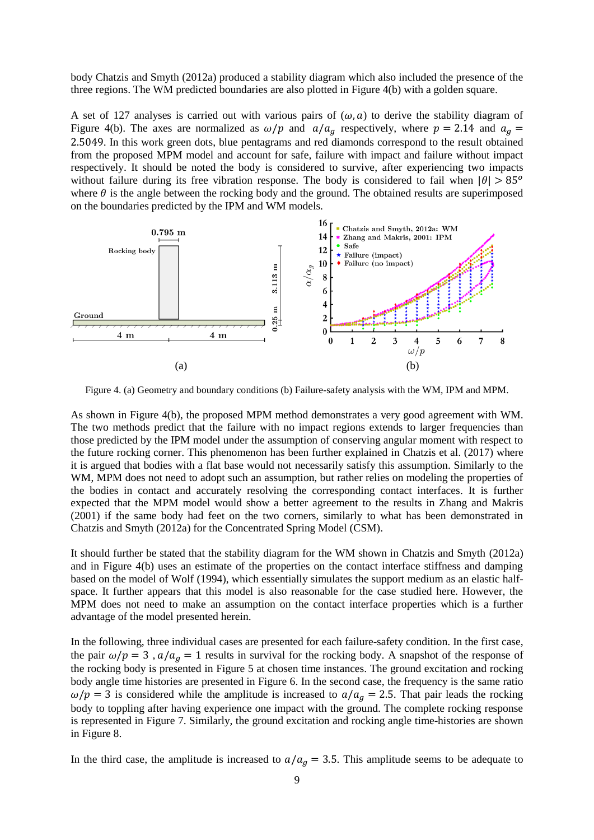body Chatzis and Smyth (2012a) produced a stability diagram which also included the presence of the three regions. The WM predicted boundaries are also plotted in [Figure 4\(](#page-8-0)b) with a golden square.

A set of 127 analyses is carried out with various pairs of  $(\omega, a)$  to derive the stability diagram of [Figure 4\(](#page-8-0)b). The axes are normalized as  $\omega / p$  and  $a/a<sub>q</sub>$  respectively, where  $p = 2.14$  and  $a<sub>q</sub> =$ 2.5049. In this work green dots, blue pentagrams and red diamonds correspond to the result obtained from the proposed MPM model and account for safe, failure with impact and failure without impact respectively. It should be noted the body is considered to survive, after experiencing two impacts without failure during its free vibration response. The body is considered to fail when  $|\theta| > 85^\circ$ where  $\theta$  is the angle between the rocking body and the ground. The obtained results are superimposed on the boundaries predicted by the IPM and WM models.



<span id="page-8-0"></span>Figure 4. (a) Geometry and boundary conditions (b) Failure-safety analysis with the WM, IPM and MPM.

As shown in [Figure 4\(](#page-8-0)b), the proposed MPM method demonstrates a very good agreement with WM. The two methods predict that the failure with no impact regions extends to larger frequencies than those predicted by the IPM model under the assumption of conserving angular moment with respect to the future rocking corner. This phenomenon has been further explained in Chatzis et al. (2017) where it is argued that bodies with a flat base would not necessarily satisfy this assumption. Similarly to the WM, MPM does not need to adopt such an assumption, but rather relies on modeling the properties of the bodies in contact and accurately resolving the corresponding contact interfaces. It is further expected that the MPM model would show a better agreement to the results in Zhang and Makris (2001) if the same body had feet on the two corners, similarly to what has been demonstrated in Chatzis and Smyth (2012a) for the Concentrated Spring Model (CSM).

It should further be stated that the stability diagram for the WM shown in Chatzis and Smyth (2012a) and in [Figure 4\(](#page-8-0)b) uses an estimate of the properties on the contact interface stiffness and damping based on the model of Wolf (1994), which essentially simulates the support medium as an elastic halfspace. It further appears that this model is also reasonable for the case studied here. However, the MPM does not need to make an assumption on the contact interface properties which is a further advantage of the model presented herein.

In the following, three individual cases are presented for each failure-safety condition. In the first case, the pair  $\omega / p = 3$ ,  $a / a<sub>g</sub> = 1$  results in survival for the rocking body. A snapshot of the response of the rocking body is presented in [Figure 5](#page-9-0) at chosen time instances. The ground excitation and rocking body angle time histories are presented in [Figure 6.](#page-9-1) In the second case, the frequency is the same ratio  $\omega / p = 3$  is considered while the amplitude is increased to  $a/a<sub>q</sub> = 2.5$ . That pair leads the rocking body to toppling after having experience one impact with the ground. The complete rocking response is represented in [Figure 7.](#page-9-2) Similarly, the ground excitation and rocking angle time-histories are shown in [Figure 8.](#page-10-0)

In the third case, the amplitude is increased to  $a/a<sub>a</sub> = 3.5$ . This amplitude seems to be adequate to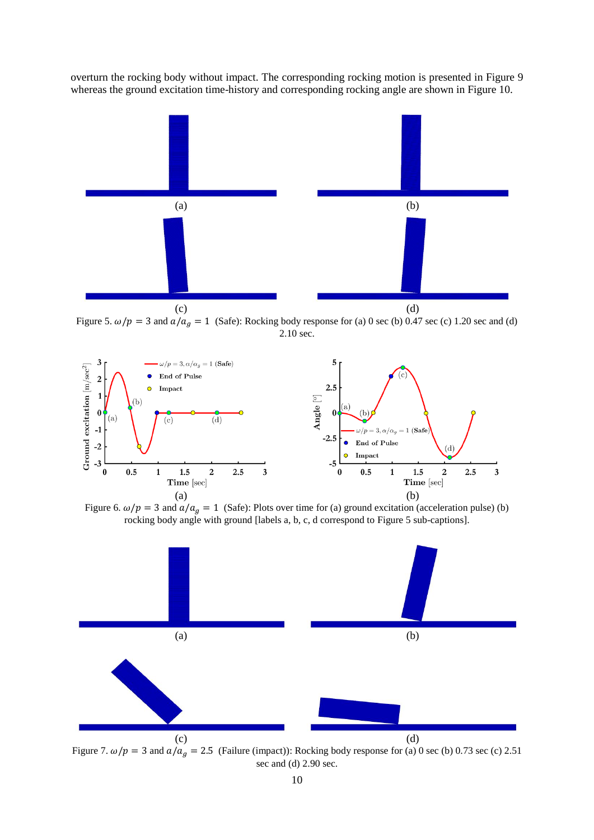overturn the rocking body without impact. The corresponding rocking motion is presented in [Figure 9](#page-10-1) whereas the ground excitation time-history and corresponding rocking angle are shown i[n Figure 10.](#page-10-2)



<span id="page-9-0"></span>Figure 5.  $\omega/p = 3$  and  $a/a<sub>g</sub> = 1$  (Safe): Rocking body response for (a) 0 sec (b) 0.47 sec (c) 1.20 sec and (d) 2.10 sec.



<span id="page-9-1"></span>Figure 6.  $\omega/p = 3$  and  $a/a_a = 1$  (Safe): Plots over time for (a) ground excitation (acceleration pulse) (b) rocking body angle with ground [labels a, b, c, d correspond to [Figure 5](#page-9-0) sub-captions].



<span id="page-9-2"></span>Figure 7.  $\omega/p = 3$  and  $a/a<sub>g</sub> = 2.5$  (Failure (impact)): Rocking body response for (a) 0 sec (b) 0.73 sec (c) 2.51 sec and (d) 2.90 sec.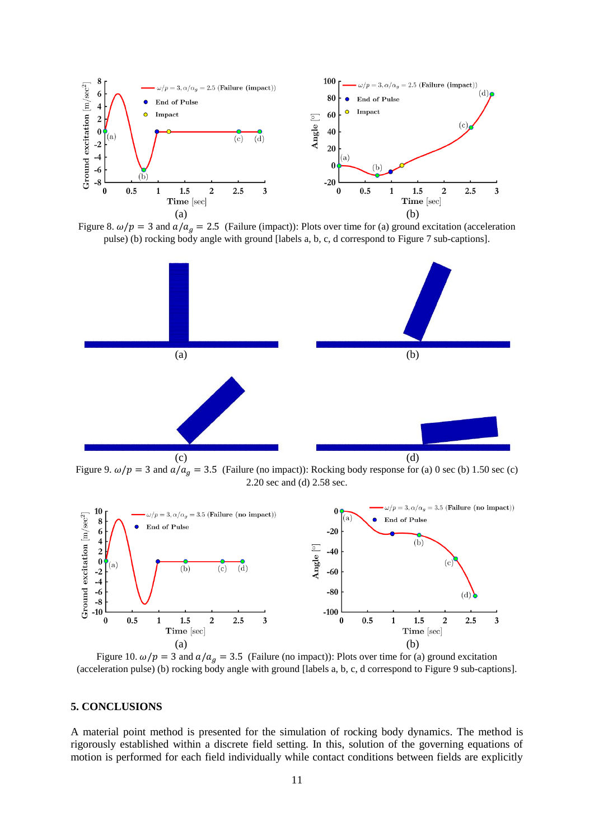

<span id="page-10-0"></span>Figure 8.  $\omega/p = 3$  and  $a/a_g = 2.5$  (Failure (impact)): Plots over time for (a) ground excitation (acceleration pulse) (b) rocking body angle with ground [labels a, b, c, d correspond to [Figure 7](#page-9-2) sub-captions].



<span id="page-10-1"></span>Figure 9.  $\omega/p = 3$  and  $a/a_g = 3.5$  (Failure (no impact)): Rocking body response for (a) 0 sec (b) 1.50 sec (c) 2.20 sec and (d) 2.58 sec.



<span id="page-10-2"></span>Figure 10.  $\omega/p = 3$  and  $a/a<sub>g</sub> = 3.5$  (Failure (no impact)): Plots over time for (a) ground excitation (acceleration pulse) (b) rocking body angle with ground [labels a, b, c, d correspond to [Figure 9](#page-10-1) sub-captions].

# **5. CONCLUSIONS**

A material point method is presented for the simulation of rocking body dynamics. The method is rigorously established within a discrete field setting. In this, solution of the governing equations of motion is performed for each field individually while contact conditions between fields are explicitly